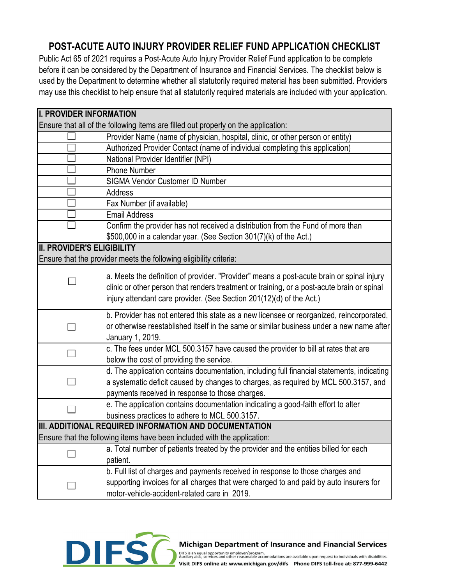## **POST-ACUTE AUTO INJURY PROVIDER RELIEF FUND APPLICATION CHECKLIST**

Public Act 65 of 2021 requires a Post-Acute Auto Injury Provider Relief Fund application to be complete before it can be considered by the Department of Insurance and Financial Services. The checklist below is used by the Department to determine whether all statutorily required material has been submitted. Providers may use this checklist to help ensure that all statutorily required materials are included with your application.

| <b>II. PROVIDER INFORMATION</b>                                                    |                                                                                                                                                                                                                                                                 |  |
|------------------------------------------------------------------------------------|-----------------------------------------------------------------------------------------------------------------------------------------------------------------------------------------------------------------------------------------------------------------|--|
| Ensure that all of the following items are filled out properly on the application: |                                                                                                                                                                                                                                                                 |  |
|                                                                                    | Provider Name (name of physician, hospital, clinic, or other person or entity)                                                                                                                                                                                  |  |
|                                                                                    | Authorized Provider Contact (name of individual completing this application)                                                                                                                                                                                    |  |
|                                                                                    | National Provider Identifier (NPI)                                                                                                                                                                                                                              |  |
|                                                                                    | <b>Phone Number</b>                                                                                                                                                                                                                                             |  |
|                                                                                    | <b>SIGMA Vendor Customer ID Number</b>                                                                                                                                                                                                                          |  |
|                                                                                    | <b>Address</b>                                                                                                                                                                                                                                                  |  |
|                                                                                    | Fax Number (if available)                                                                                                                                                                                                                                       |  |
|                                                                                    | <b>Email Address</b>                                                                                                                                                                                                                                            |  |
|                                                                                    | Confirm the provider has not received a distribution from the Fund of more than<br>\$500,000 in a calendar year. (See Section 301(7)(k) of the Act.)                                                                                                            |  |
| <b>II. PROVIDER'S ELIGIBILITY</b>                                                  |                                                                                                                                                                                                                                                                 |  |
| Ensure that the provider meets the following eligibility criteria:                 |                                                                                                                                                                                                                                                                 |  |
|                                                                                    | a. Meets the definition of provider. "Provider" means a post-acute brain or spinal injury<br>clinic or other person that renders treatment or training, or a post-acute brain or spinal<br>injury attendant care provider. (See Section 201(12)(d) of the Act.) |  |
|                                                                                    | b. Provider has not entered this state as a new licensee or reorganized, reincorporated,<br>or otherwise reestablished itself in the same or similar business under a new name after<br>January 1, 2019.                                                        |  |
|                                                                                    | c. The fees under MCL 500.3157 have caused the provider to bill at rates that are<br>below the cost of providing the service.                                                                                                                                   |  |
|                                                                                    | d. The application contains documentation, including full financial statements, indicating<br>a systematic deficit caused by changes to charges, as required by MCL 500.3157, and<br>payments received in response to those charges.                            |  |
|                                                                                    | e. The application contains documentation indicating a good-faith effort to alter<br>business practices to adhere to MCL 500.3157.                                                                                                                              |  |
| III. ADDITIONAL REQUIRED INFORMATION AND DOCUMENTATION                             |                                                                                                                                                                                                                                                                 |  |
| Ensure that the following items have been included with the application:           |                                                                                                                                                                                                                                                                 |  |
|                                                                                    | a. Total number of patients treated by the provider and the entities billed for each<br>patient.                                                                                                                                                                |  |
|                                                                                    | b. Full list of charges and payments received in response to those charges and                                                                                                                                                                                  |  |
|                                                                                    | supporting invoices for all charges that were charged to and paid by auto insurers for<br>motor-vehicle-accident-related care in 2019.                                                                                                                          |  |



## **Michigan Department of Insurance and Financial Services**